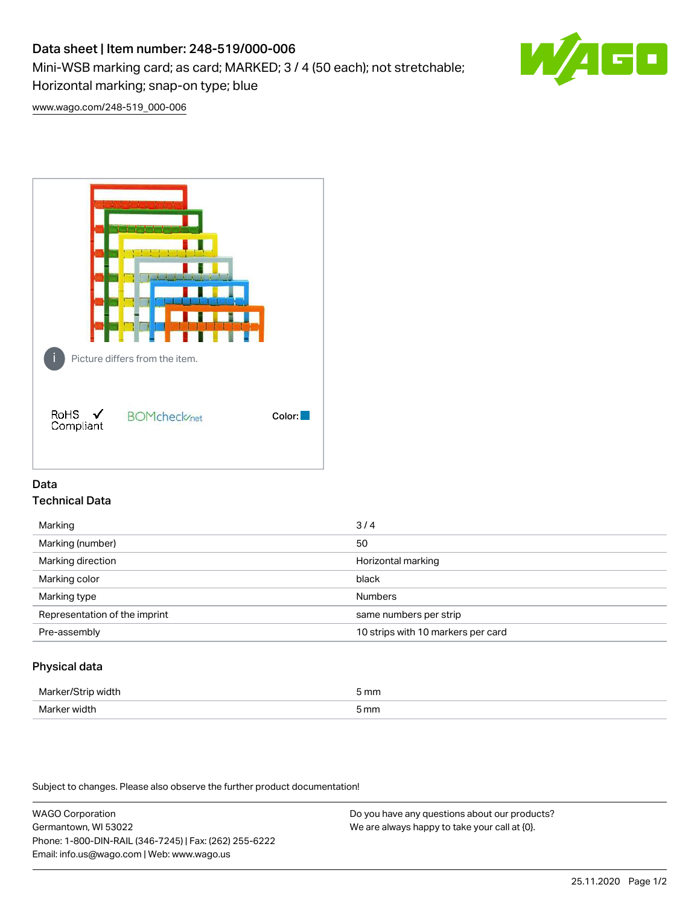# Data sheet | Item number: 248-519/000-006

Mini-WSB marking card; as card; MARKED; 3 / 4 (50 each); not stretchable;

Horizontal marking; snap-on type; blue

[www.wago.com/248-519\\_000-006](http://www.wago.com/248-519_000-006)



## Data Technical Data

| Marking                       | 3/4                                |
|-------------------------------|------------------------------------|
| Marking (number)              | 50                                 |
| Marking direction             | Horizontal marking                 |
| Marking color                 | black                              |
| Marking type                  | <b>Numbers</b>                     |
| Representation of the imprint | same numbers per strip             |
| Pre-assembly                  | 10 strips with 10 markers per card |
|                               |                                    |

## Physical data

| Marker<br>width<br>ш | 5 mm |
|----------------------|------|
| Marker width         | 5 mm |

Subject to changes. Please also observe the further product documentation!

WAGO Corporation Germantown, WI 53022 Phone: 1-800-DIN-RAIL (346-7245) | Fax: (262) 255-6222 Email: info.us@wago.com | Web: www.wago.us

Do you have any questions about our products? We are always happy to take your call at {0}.